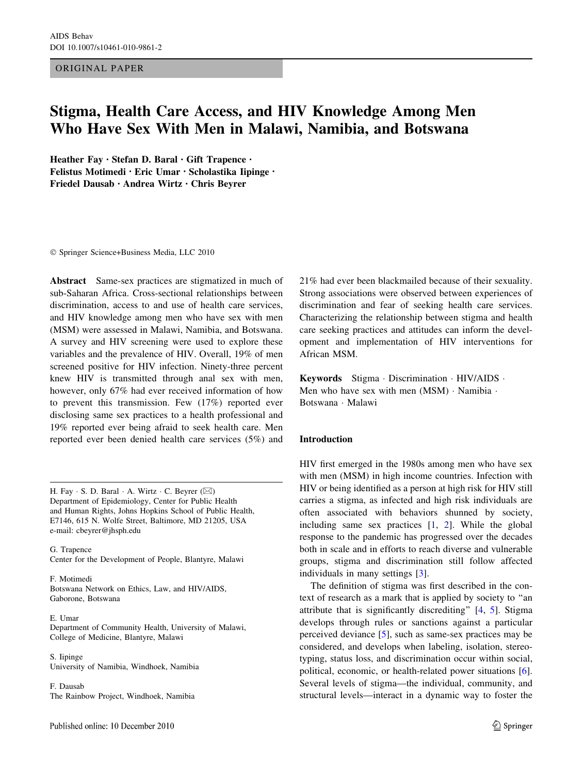#### ORIGINAL PAPER

# Stigma, Health Care Access, and HIV Knowledge Among Men Who Have Sex With Men in Malawi, Namibia, and Botswana

Heather Fay • Stefan D. Baral • Gift Trapence • Felistus Motimedi • Eric Umar • Scholastika Iipinge • Friedel Dausab • Andrea Wirtz • Chris Beyrer

- Springer Science+Business Media, LLC 2010

Abstract Same-sex practices are stigmatized in much of sub-Saharan Africa. Cross-sectional relationships between discrimination, access to and use of health care services, and HIV knowledge among men who have sex with men (MSM) were assessed in Malawi, Namibia, and Botswana. A survey and HIV screening were used to explore these variables and the prevalence of HIV. Overall, 19% of men screened positive for HIV infection. Ninety-three percent knew HIV is transmitted through anal sex with men, however, only 67% had ever received information of how to prevent this transmission. Few (17%) reported ever disclosing same sex practices to a health professional and 19% reported ever being afraid to seek health care. Men reported ever been denied health care services (5%) and

H. Fay  $\cdot$  S. D. Baral  $\cdot$  A. Wirtz  $\cdot$  C. Beyrer ( $\boxtimes$ ) Department of Epidemiology, Center for Public Health and Human Rights, Johns Hopkins School of Public Health, E7146, 615 N. Wolfe Street, Baltimore, MD 21205, USA e-mail: cbeyrer@jhsph.edu

G. Trapence Center for the Development of People, Blantyre, Malawi

F. Motimedi Botswana Network on Ethics, Law, and HIV/AIDS, Gaborone, Botswana

#### E. Umar

Department of Community Health, University of Malawi, College of Medicine, Blantyre, Malawi

S. Iipinge University of Namibia, Windhoek, Namibia

F. Dausab The Rainbow Project, Windhoek, Namibia 21% had ever been blackmailed because of their sexuality. Strong associations were observed between experiences of discrimination and fear of seeking health care services. Characterizing the relationship between stigma and health care seeking practices and attitudes can inform the development and implementation of HIV interventions for African MSM.

Keywords Stigma - Discrimination - HIV/AIDS - Men who have sex with men  $(MSM) \cdot$  Namibia  $\cdot$ Botswana - Malawi

## Introduction

HIV first emerged in the 1980s among men who have sex with men (MSM) in high income countries. Infection with HIV or being identified as a person at high risk for HIV still carries a stigma, as infected and high risk individuals are often associated with behaviors shunned by society, including same sex practices [[1](#page-8-0), [2\]](#page-8-0). While the global response to the pandemic has progressed over the decades both in scale and in efforts to reach diverse and vulnerable groups, stigma and discrimination still follow affected individuals in many settings [[3\]](#page-8-0).

The definition of stigma was first described in the context of research as a mark that is applied by society to ''an attribute that is significantly discrediting'' [[4,](#page-8-0) [5\]](#page-8-0). Stigma develops through rules or sanctions against a particular perceived deviance [[5\]](#page-8-0), such as same-sex practices may be considered, and develops when labeling, isolation, stereotyping, status loss, and discrimination occur within social, political, economic, or health-related power situations [\[6](#page-8-0)]. Several levels of stigma—the individual, community, and structural levels—interact in a dynamic way to foster the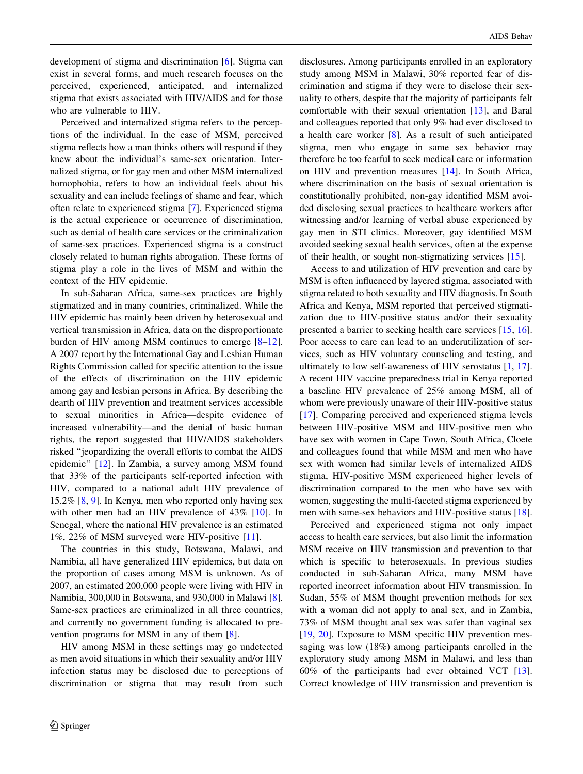development of stigma and discrimination [[6\]](#page-8-0). Stigma can exist in several forms, and much research focuses on the perceived, experienced, anticipated, and internalized stigma that exists associated with HIV/AIDS and for those who are vulnerable to HIV.

Perceived and internalized stigma refers to the perceptions of the individual. In the case of MSM, perceived stigma reflects how a man thinks others will respond if they knew about the individual's same-sex orientation. Internalized stigma, or for gay men and other MSM internalized homophobia, refers to how an individual feels about his sexuality and can include feelings of shame and fear, which often relate to experienced stigma [\[7](#page-8-0)]. Experienced stigma is the actual experience or occurrence of discrimination, such as denial of health care services or the criminalization of same-sex practices. Experienced stigma is a construct closely related to human rights abrogation. These forms of stigma play a role in the lives of MSM and within the context of the HIV epidemic.

In sub-Saharan Africa, same-sex practices are highly stigmatized and in many countries, criminalized. While the HIV epidemic has mainly been driven by heterosexual and vertical transmission in Africa, data on the disproportionate burden of HIV among MSM continues to emerge [\[8](#page-8-0)[–12](#page-9-0)]. A 2007 report by the International Gay and Lesbian Human Rights Commission called for specific attention to the issue of the effects of discrimination on the HIV epidemic among gay and lesbian persons in Africa. By describing the dearth of HIV prevention and treatment services accessible to sexual minorities in Africa—despite evidence of increased vulnerability—and the denial of basic human rights, the report suggested that HIV/AIDS stakeholders risked ''jeopardizing the overall efforts to combat the AIDS epidemic'' [\[12](#page-9-0)]. In Zambia, a survey among MSM found that 33% of the participants self-reported infection with HIV, compared to a national adult HIV prevalence of 15.2% [[8,](#page-8-0) [9](#page-8-0)]. In Kenya, men who reported only having sex with other men had an HIV prevalence of 43% [[10\]](#page-9-0). In Senegal, where the national HIV prevalence is an estimated 1%, 22% of MSM surveyed were HIV-positive [\[11](#page-9-0)].

The countries in this study, Botswana, Malawi, and Namibia, all have generalized HIV epidemics, but data on the proportion of cases among MSM is unknown. As of 2007, an estimated 200,000 people were living with HIV in Namibia, 300,000 in Botswana, and 930,000 in Malawi [\[8](#page-8-0)]. Same-sex practices are criminalized in all three countries, and currently no government funding is allocated to prevention programs for MSM in any of them [\[8](#page-8-0)].

HIV among MSM in these settings may go undetected as men avoid situations in which their sexuality and/or HIV infection status may be disclosed due to perceptions of discrimination or stigma that may result from such disclosures. Among participants enrolled in an exploratory study among MSM in Malawi, 30% reported fear of discrimination and stigma if they were to disclose their sexuality to others, despite that the majority of participants felt comfortable with their sexual orientation [[13\]](#page-9-0), and Baral and colleagues reported that only 9% had ever disclosed to a health care worker [\[8](#page-8-0)]. As a result of such anticipated stigma, men who engage in same sex behavior may therefore be too fearful to seek medical care or information on HIV and prevention measures [[14\]](#page-9-0). In South Africa, where discrimination on the basis of sexual orientation is constitutionally prohibited, non-gay identified MSM avoided disclosing sexual practices to healthcare workers after witnessing and/or learning of verbal abuse experienced by gay men in STI clinics. Moreover, gay identified MSM avoided seeking sexual health services, often at the expense of their health, or sought non-stigmatizing services [[15](#page-9-0)].

Access to and utilization of HIV prevention and care by MSM is often influenced by layered stigma, associated with stigma related to both sexuality and HIV diagnosis. In South Africa and Kenya, MSM reported that perceived stigmatization due to HIV-positive status and/or their sexuality presented a barrier to seeking health care services [\[15](#page-9-0), [16](#page-9-0)]. Poor access to care can lead to an underutilization of services, such as HIV voluntary counseling and testing, and ultimately to low self-awareness of HIV serostatus [[1,](#page-8-0) [17](#page-9-0)]. A recent HIV vaccine preparedness trial in Kenya reported a baseline HIV prevalence of 25% among MSM, all of whom were previously unaware of their HIV-positive status [\[17](#page-9-0)]. Comparing perceived and experienced stigma levels between HIV-positive MSM and HIV-positive men who have sex with women in Cape Town, South Africa, Cloete and colleagues found that while MSM and men who have sex with women had similar levels of internalized AIDS stigma, HIV-positive MSM experienced higher levels of discrimination compared to the men who have sex with women, suggesting the multi-faceted stigma experienced by men with same-sex behaviors and HIV-positive status [\[18](#page-9-0)].

Perceived and experienced stigma not only impact access to health care services, but also limit the information MSM receive on HIV transmission and prevention to that which is specific to heterosexuals. In previous studies conducted in sub-Saharan Africa, many MSM have reported incorrect information about HIV transmission. In Sudan, 55% of MSM thought prevention methods for sex with a woman did not apply to anal sex, and in Zambia, 73% of MSM thought anal sex was safer than vaginal sex [\[19](#page-9-0), [20](#page-9-0)]. Exposure to MSM specific HIV prevention messaging was low (18%) among participants enrolled in the exploratory study among MSM in Malawi, and less than 60% of the participants had ever obtained VCT [\[13](#page-9-0)]. Correct knowledge of HIV transmission and prevention is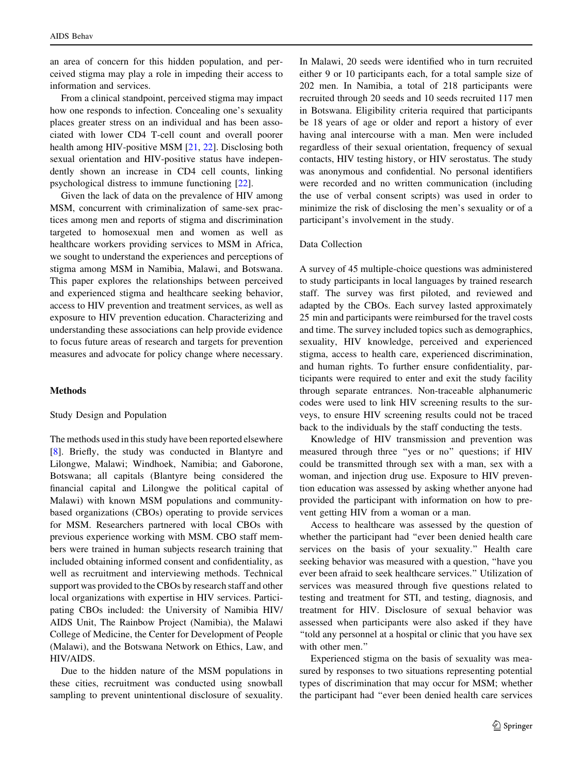an area of concern for this hidden population, and perceived stigma may play a role in impeding their access to information and services.

From a clinical standpoint, perceived stigma may impact how one responds to infection. Concealing one's sexuality places greater stress on an individual and has been associated with lower CD4 T-cell count and overall poorer health among HIV-positive MSM [\[21](#page-9-0), [22\]](#page-9-0). Disclosing both sexual orientation and HIV-positive status have independently shown an increase in CD4 cell counts, linking psychological distress to immune functioning [\[22](#page-9-0)].

Given the lack of data on the prevalence of HIV among MSM, concurrent with criminalization of same-sex practices among men and reports of stigma and discrimination targeted to homosexual men and women as well as healthcare workers providing services to MSM in Africa, we sought to understand the experiences and perceptions of stigma among MSM in Namibia, Malawi, and Botswana. This paper explores the relationships between perceived and experienced stigma and healthcare seeking behavior, access to HIV prevention and treatment services, as well as exposure to HIV prevention education. Characterizing and understanding these associations can help provide evidence to focus future areas of research and targets for prevention measures and advocate for policy change where necessary.

### Methods

#### Study Design and Population

The methods used in this study have been reported elsewhere [\[8](#page-8-0)]. Briefly, the study was conducted in Blantyre and Lilongwe, Malawi; Windhoek, Namibia; and Gaborone, Botswana; all capitals (Blantyre being considered the financial capital and Lilongwe the political capital of Malawi) with known MSM populations and communitybased organizations (CBOs) operating to provide services for MSM. Researchers partnered with local CBOs with previous experience working with MSM. CBO staff members were trained in human subjects research training that included obtaining informed consent and confidentiality, as well as recruitment and interviewing methods. Technical support was provided to the CBOs by research staff and other local organizations with expertise in HIV services. Participating CBOs included: the University of Namibia HIV/ AIDS Unit, The Rainbow Project (Namibia), the Malawi College of Medicine, the Center for Development of People (Malawi), and the Botswana Network on Ethics, Law, and HIV/AIDS.

Due to the hidden nature of the MSM populations in these cities, recruitment was conducted using snowball sampling to prevent unintentional disclosure of sexuality.

In Malawi, 20 seeds were identified who in turn recruited either 9 or 10 participants each, for a total sample size of 202 men. In Namibia, a total of 218 participants were recruited through 20 seeds and 10 seeds recruited 117 men in Botswana. Eligibility criteria required that participants be 18 years of age or older and report a history of ever having anal intercourse with a man. Men were included regardless of their sexual orientation, frequency of sexual contacts, HIV testing history, or HIV serostatus. The study was anonymous and confidential. No personal identifiers were recorded and no written communication (including the use of verbal consent scripts) was used in order to minimize the risk of disclosing the men's sexuality or of a participant's involvement in the study.

#### Data Collection

A survey of 45 multiple-choice questions was administered to study participants in local languages by trained research staff. The survey was first piloted, and reviewed and adapted by the CBOs. Each survey lasted approximately 25 min and participants were reimbursed for the travel costs and time. The survey included topics such as demographics, sexuality, HIV knowledge, perceived and experienced stigma, access to health care, experienced discrimination, and human rights. To further ensure confidentiality, participants were required to enter and exit the study facility through separate entrances. Non-traceable alphanumeric codes were used to link HIV screening results to the surveys, to ensure HIV screening results could not be traced back to the individuals by the staff conducting the tests.

Knowledge of HIV transmission and prevention was measured through three ''yes or no'' questions; if HIV could be transmitted through sex with a man, sex with a woman, and injection drug use. Exposure to HIV prevention education was assessed by asking whether anyone had provided the participant with information on how to prevent getting HIV from a woman or a man.

Access to healthcare was assessed by the question of whether the participant had ''ever been denied health care services on the basis of your sexuality.'' Health care seeking behavior was measured with a question, ''have you ever been afraid to seek healthcare services.'' Utilization of services was measured through five questions related to testing and treatment for STI, and testing, diagnosis, and treatment for HIV. Disclosure of sexual behavior was assessed when participants were also asked if they have ''told any personnel at a hospital or clinic that you have sex with other men.''

Experienced stigma on the basis of sexuality was measured by responses to two situations representing potential types of discrimination that may occur for MSM; whether the participant had ''ever been denied health care services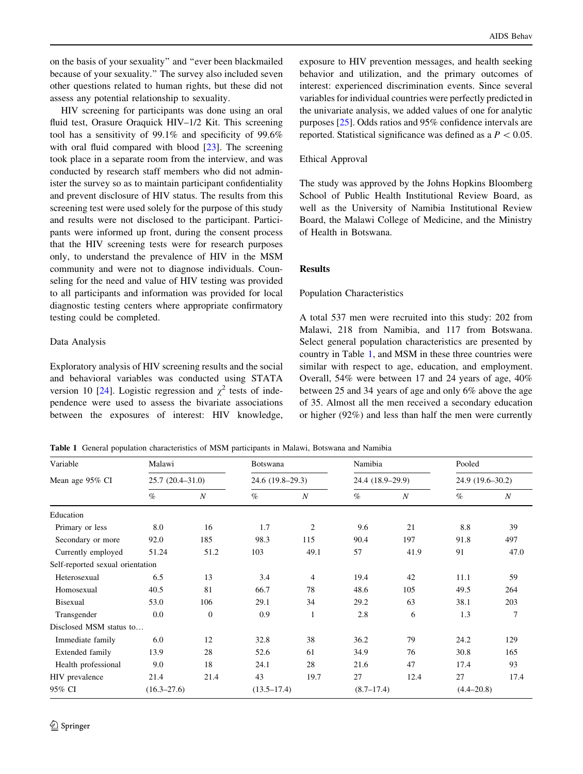on the basis of your sexuality'' and ''ever been blackmailed because of your sexuality.'' The survey also included seven other questions related to human rights, but these did not assess any potential relationship to sexuality.

HIV screening for participants was done using an oral fluid test, Orasure Oraquick HIV–1/2 Kit. This screening tool has a sensitivity of 99.1% and specificity of 99.6% with oral fluid compared with blood [\[23](#page-9-0)]. The screening took place in a separate room from the interview, and was conducted by research staff members who did not administer the survey so as to maintain participant confidentiality and prevent disclosure of HIV status. The results from this screening test were used solely for the purpose of this study and results were not disclosed to the participant. Participants were informed up front, during the consent process that the HIV screening tests were for research purposes only, to understand the prevalence of HIV in the MSM community and were not to diagnose individuals. Counseling for the need and value of HIV testing was provided to all participants and information was provided for local diagnostic testing centers where appropriate confirmatory testing could be completed.

#### Data Analysis

Exploratory analysis of HIV screening results and the social and behavioral variables was conducted using STATA version 10 [[24\]](#page-9-0). Logistic regression and  $\chi^2$  tests of independence were used to assess the bivariate associations between the exposures of interest: HIV knowledge,

exposure to HIV prevention messages, and health seeking behavior and utilization, and the primary outcomes of interest: experienced discrimination events. Since several variables for individual countries were perfectly predicted in the univariate analysis, we added values of one for analytic purposes [\[25](#page-9-0)]. Odds ratios and 95% confidence intervals are reported. Statistical significance was defined as a  $P < 0.05$ .

#### Ethical Approval

The study was approved by the Johns Hopkins Bloomberg School of Public Health Institutional Review Board, as well as the University of Namibia Institutional Review Board, the Malawi College of Medicine, and the Ministry of Health in Botswana.

#### Results

#### Population Characteristics

A total 537 men were recruited into this study: 202 from Malawi, 218 from Namibia, and 117 from Botswana. Select general population characteristics are presented by country in Table 1, and MSM in these three countries were similar with respect to age, education, and employment. Overall, 54% were between 17 and 24 years of age, 40% between 25 and 34 years of age and only 6% above the age of 35. Almost all the men received a secondary education or higher (92%) and less than half the men were currently

Table 1 General population characteristics of MSM participants in Malawi, Botswana and Namibia

| Variable                         | Malawi              |                  | <b>Botswana</b>   |                | Namibia          |                | Pooled           |                  |
|----------------------------------|---------------------|------------------|-------------------|----------------|------------------|----------------|------------------|------------------|
| Mean age 95% CI                  | $25.7(20.4 - 31.0)$ |                  | $24.6(19.8-29.3)$ |                | 24.4 (18.9–29.9) |                | 24.9 (19.6-30.2) |                  |
|                                  | $\%$                | $\boldsymbol{N}$ | $\%$              | $\overline{N}$ | $\%$             | $\overline{N}$ | $\%$             | $\boldsymbol{N}$ |
| Education                        |                     |                  |                   |                |                  |                |                  |                  |
| Primary or less                  | 8.0                 | 16               | 1.7               | 2              | 9.6              | 21             | 8.8              | 39               |
| Secondary or more                | 92.0                | 185              | 98.3              | 115            | 90.4             | 197            | 91.8             | 497              |
| Currently employed               | 51.24               | 51.2             | 103               | 49.1           | 57               | 41.9           | 91               | 47.0             |
| Self-reported sexual orientation |                     |                  |                   |                |                  |                |                  |                  |
| Heterosexual                     | 6.5                 | 13               | 3.4               | $\overline{4}$ | 19.4             | 42             | 11.1             | 59               |
| Homosexual                       | 40.5                | 81               | 66.7              | 78             | 48.6             | 105            | 49.5             | 264              |
| <b>Bisexual</b>                  | 53.0                | 106              | 29.1              | 34             | 29.2             | 63             | 38.1             | 203              |
| Transgender                      | 0.0                 | $\mathbf{0}$     | 0.9               | $\mathbf{1}$   | 2.8              | 6              | 1.3              | 7                |
| Disclosed MSM status to          |                     |                  |                   |                |                  |                |                  |                  |
| Immediate family                 | 6.0                 | 12               | 32.8              | 38             | 36.2             | 79             | 24.2             | 129              |
| Extended family                  | 13.9                | 28               | 52.6              | 61             | 34.9             | 76             | 30.8             | 165              |
| Health professional              | 9.0                 | 18               | 24.1              | 28             | 21.6             | 47             | 17.4             | 93               |
| HIV prevalence                   | 21.4                | 21.4             | 43                | 19.7           | 27               | 12.4           | 27               | 17.4             |
| 95% CI                           | $(16.3 - 27.6)$     |                  | $(13.5 - 17.4)$   |                | (8.7–17.4)       |                | $(4.4 - 20.8)$   |                  |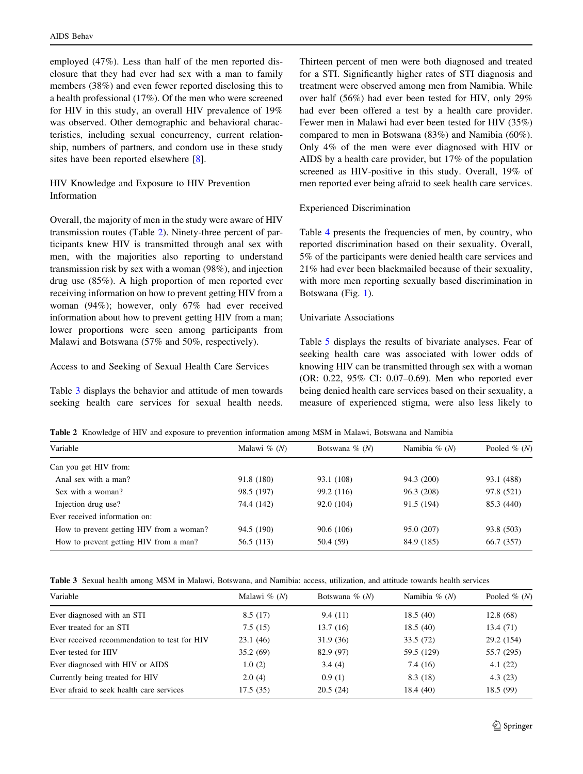employed (47%). Less than half of the men reported disclosure that they had ever had sex with a man to family members (38%) and even fewer reported disclosing this to a health professional (17%). Of the men who were screened for HIV in this study, an overall HIV prevalence of 19% was observed. Other demographic and behavioral characteristics, including sexual concurrency, current relationship, numbers of partners, and condom use in these study sites have been reported elsewhere [[8](#page-8-0)].

## HIV Knowledge and Exposure to HIV Prevention Information

Overall, the majority of men in the study were aware of HIV transmission routes (Table 2). Ninety-three percent of participants knew HIV is transmitted through anal sex with men, with the majorities also reporting to understand transmission risk by sex with a woman (98%), and injection drug use (85%). A high proportion of men reported ever receiving information on how to prevent getting HIV from a woman (94%); however, only 67% had ever received information about how to prevent getting HIV from a man; lower proportions were seen among participants from Malawi and Botswana (57% and 50%, respectively).

## Access to and Seeking of Sexual Health Care Services

Table 3 displays the behavior and attitude of men towards seeking health care services for sexual health needs.

Thirteen percent of men were both diagnosed and treated for a STI. Significantly higher rates of STI diagnosis and treatment were observed among men from Namibia. While over half (56%) had ever been tested for HIV, only 29% had ever been offered a test by a health care provider. Fewer men in Malawi had ever been tested for HIV (35%) compared to men in Botswana (83%) and Namibia (60%). Only 4% of the men were ever diagnosed with HIV or AIDS by a health care provider, but 17% of the population screened as HIV-positive in this study. Overall, 19% of men reported ever being afraid to seek health care services.

## Experienced Discrimination

Table [4](#page-5-0) presents the frequencies of men, by country, who reported discrimination based on their sexuality. Overall, 5% of the participants were denied health care services and 21% had ever been blackmailed because of their sexuality, with more men reporting sexually based discrimination in Botswana (Fig. [1](#page-5-0)).

## Univariate Associations

Table [5](#page-6-0) displays the results of bivariate analyses. Fear of seeking health care was associated with lower odds of knowing HIV can be transmitted through sex with a woman (OR: 0.22, 95% CI: 0.07–0.69). Men who reported ever being denied health care services based on their sexuality, a measure of experienced stigma, were also less likely to

Table 2 Knowledge of HIV and exposure to prevention information among MSM in Malawi, Botswana and Namibia

| Variable                                 | Malawi $\%$ (N) | Botswana $\%$ (N) | Namibia $\%$ (N) | Pooled $\%$ (N) |
|------------------------------------------|-----------------|-------------------|------------------|-----------------|
| Can you get HIV from:                    |                 |                   |                  |                 |
| Anal sex with a man?                     | 91.8 (180)      | 93.1 (108)        | 94.3 (200)       | 93.1 (488)      |
| Sex with a woman?                        | 98.5 (197)      | 99.2 (116)        | 96.3 (208)       | 97.8 (521)      |
| Injection drug use?                      | 74.4 (142)      | 92.0 (104)        | 91.5 (194)       | 85.3 (440)      |
| Ever received information on:            |                 |                   |                  |                 |
| How to prevent getting HIV from a woman? | 94.5 (190)      | 90.6 (106)        | 95.0 (207)       | 93.8 (503)      |
| How to prevent getting HIV from a man?   | 56.5 (113)      | 50.4 (59)         | 84.9 (185)       | 66.7 (357)      |

Table 3 Sexual health among MSM in Malawi, Botswana, and Namibia: access, utilization, and attitude towards health services

| Variable                                     | Malawi $\%$ (N) | Botswana $\%$ (N) | Namibia $\%$ (N) | Pooled $\%$ (N) |
|----------------------------------------------|-----------------|-------------------|------------------|-----------------|
| Ever diagnosed with an STI                   | 8.5(17)         | 9.4(11)           | 18.5(40)         | 12.8 (68)       |
| Ever treated for an STI                      | 7.5(15)         | 13.7(16)          | 18.5(40)         | 13.4(71)        |
| Ever received recommendation to test for HIV | 23.1(46)        | 31.9(36)          | 33.5(72)         | 29.2 (154)      |
| Ever tested for HIV                          | 35.2(69)        | 82.9 (97)         | 59.5 (129)       | 55.7 (295)      |
| Ever diagnosed with HIV or AIDS              | 1.0(2)          | 3.4(4)            | 7.4(16)          | 4.1(22)         |
| Currently being treated for HIV              | 2.0(4)          | 0.9(1)            | 8.3(18)          | 4.3(23)         |
| Ever afraid to seek health care services     | 17.5(35)        | 20.5(24)          | 18.4 (40)        | 18.5(99)        |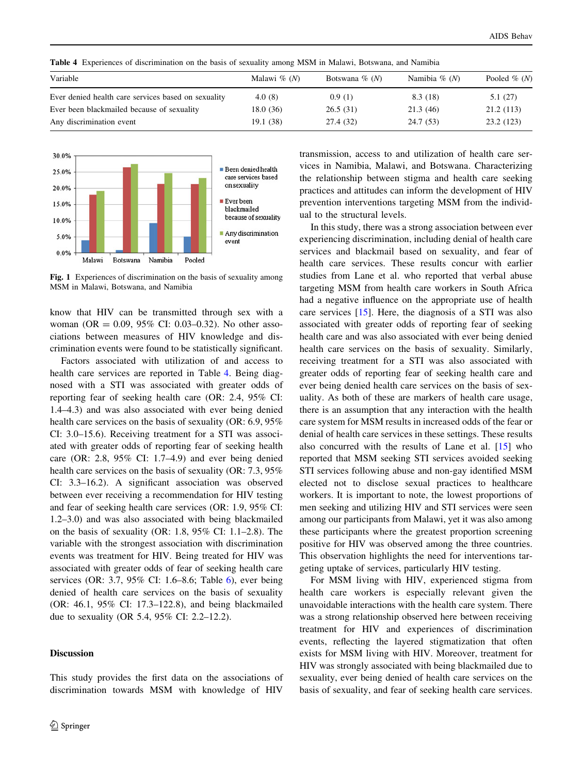| Variable                                            | Malawi $\%$ (N) | Botswana $\%$ (N) | Namibia $\%$ (N) | Pooled $\%$ (N) |
|-----------------------------------------------------|-----------------|-------------------|------------------|-----------------|
| Ever denied health care services based on sexuality | 4.0(8)          | 0.9(1)            | 8.3(18)          | 5.1(27)         |
| Ever been blackmailed because of sexuality          | 18.0(36)        | 26.5(31)          | 21.3(46)         | 21.2(113)       |
| Any discrimination event                            | 19.1(38)        | 27.4 (32)         | 24.7(53)         | 23.2(123)       |

<span id="page-5-0"></span>Table 4 Experiences of discrimination on the basis of sexuality among MSM in Malawi, Botswana, and Namibia



Fig. 1 Experiences of discrimination on the basis of sexuality among MSM in Malawi, Botswana, and Namibia

know that HIV can be transmitted through sex with a woman (OR = 0.09, 95% CI: 0.03–0.32). No other associations between measures of HIV knowledge and discrimination events were found to be statistically significant.

Factors associated with utilization of and access to health care services are reported in Table 4. Being diagnosed with a STI was associated with greater odds of reporting fear of seeking health care (OR: 2.4, 95% CI: 1.4–4.3) and was also associated with ever being denied health care services on the basis of sexuality (OR: 6.9, 95% CI: 3.0–15.6). Receiving treatment for a STI was associated with greater odds of reporting fear of seeking health care (OR: 2.8, 95% CI: 1.7–4.9) and ever being denied health care services on the basis of sexuality (OR: 7.3, 95% CI: 3.3–16.2). A significant association was observed between ever receiving a recommendation for HIV testing and fear of seeking health care services (OR: 1.9, 95% CI: 1.2–3.0) and was also associated with being blackmailed on the basis of sexuality (OR: 1.8, 95% CI: 1.1–2.8). The variable with the strongest association with discrimination events was treatment for HIV. Being treated for HIV was associated with greater odds of fear of seeking health care services (OR: 3.7, 95% CI: 1.6–8.6; Table [6](#page-7-0)), ever being denied of health care services on the basis of sexuality (OR: 46.1, 95% CI: 17.3–122.8), and being blackmailed due to sexuality (OR 5.4, 95% CI: 2.2–12.2).

#### **Discussion**

This study provides the first data on the associations of discrimination towards MSM with knowledge of HIV

transmission, access to and utilization of health care services in Namibia, Malawi, and Botswana. Characterizing the relationship between stigma and health care seeking practices and attitudes can inform the development of HIV prevention interventions targeting MSM from the individual to the structural levels.

In this study, there was a strong association between ever experiencing discrimination, including denial of health care services and blackmail based on sexuality, and fear of health care services. These results concur with earlier studies from Lane et al. who reported that verbal abuse targeting MSM from health care workers in South Africa had a negative influence on the appropriate use of health care services [\[15](#page-9-0)]. Here, the diagnosis of a STI was also associated with greater odds of reporting fear of seeking health care and was also associated with ever being denied health care services on the basis of sexuality. Similarly, receiving treatment for a STI was also associated with greater odds of reporting fear of seeking health care and ever being denied health care services on the basis of sexuality. As both of these are markers of health care usage, there is an assumption that any interaction with the health care system for MSM results in increased odds of the fear or denial of health care services in these settings. These results also concurred with the results of Lane et al. [\[15](#page-9-0)] who reported that MSM seeking STI services avoided seeking STI services following abuse and non-gay identified MSM elected not to disclose sexual practices to healthcare workers. It is important to note, the lowest proportions of men seeking and utilizing HIV and STI services were seen among our participants from Malawi, yet it was also among these participants where the greatest proportion screening positive for HIV was observed among the three countries. This observation highlights the need for interventions targeting uptake of services, particularly HIV testing.

For MSM living with HIV, experienced stigma from health care workers is especially relevant given the unavoidable interactions with the health care system. There was a strong relationship observed here between receiving treatment for HIV and experiences of discrimination events, reflecting the layered stigmatization that often exists for MSM living with HIV. Moreover, treatment for HIV was strongly associated with being blackmailed due to sexuality, ever being denied of health care services on the basis of sexuality, and fear of seeking health care services.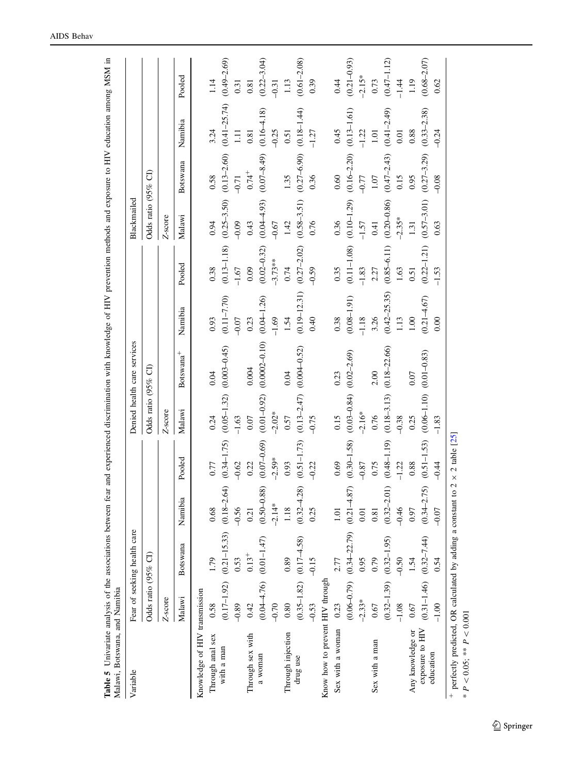| Variable                                                                                                                           |                                | Fear of seeking health care                |                 |                 |                 | Denied health care services |                  |                 | Blackmailed         |                 |                  |                 |
|------------------------------------------------------------------------------------------------------------------------------------|--------------------------------|--------------------------------------------|-----------------|-----------------|-----------------|-----------------------------|------------------|-----------------|---------------------|-----------------|------------------|-----------------|
|                                                                                                                                    | Odds ratio $(95\% \text{ CI})$ |                                            |                 |                 | Odds ratio (95% | ට්                          |                  |                 | Odds ratio (95% CI) |                 |                  |                 |
|                                                                                                                                    | Z-score                        |                                            |                 |                 | Z-score         |                             |                  |                 | Z-score             |                 |                  |                 |
|                                                                                                                                    | Malawi                         | Botswana                                   | Namibia         | Pooled          | Malawi          | $Botswana+$                 | Namibia          | Pooled          | Malawi              | Botswana        | Namibia          | Pooled          |
| Knowledge of HIV transmission                                                                                                      |                                |                                            |                 |                 |                 |                             |                  |                 |                     |                 |                  |                 |
| Through anal sex                                                                                                                   | 0.58                           | 1.79                                       | 0.68            | 0.77            | 0.24            | 0.04                        | 0.93             | 0.38            | 0.94                | 0.58            | 3.24             | 1.14            |
| with a man                                                                                                                         |                                | $(0.17-1.92)$ $(0.21-15.33)$ $(0.18-2.64)$ |                 | $(0.34 - 1.75)$ | $(0.05 - 1.32)$ | $(0.003 - 0.45)$            | $(0.11 - 7.70)$  | $(0.13 - 1.18)$ | $(0.25 - 3.50)$     | $(0.13 - 2.60)$ | $(0.41 - 25.74)$ | $(0.49 - 2.69)$ |
|                                                                                                                                    | $-0.89$                        | 0.53                                       | $-0.56$         | $-0.62$         | $-1.63$         |                             | $-0.07$          | $-1.67$         | $-0.09$             | $-0.71$         | $1.11\,$         | 0.31            |
| Through sex with                                                                                                                   | 0.42                           | $0.13^{+}$                                 | 0.21            | 0.22            | $0.07\,$        | 0.004                       | 0.23             | 0.09            | 0.43                | $0.74^{+}$      | $\!0.81$         | $\!0.81$        |
| a woman                                                                                                                            | $(0.04 - 4.76)$                | $(0.01 - 1.47)$                            | $(0.50 - 0.88)$ | $(0.07 - 0.69)$ | $(0.01 - 0.92)$ | $(0.0002 - 0.10)$           | $(0.04 - 1.26)$  | $(0.02 - 0.32)$ | $(0.04 - 4.93)$     | $(0.07 - 8.49)$ | $(0.16 - 4.18)$  | $(0.22 - 3.04)$ |
|                                                                                                                                    | $-0.70$                        |                                            | $-2.14*$        | $-2.59*$        | $-2.02*$        |                             | $-1.69$          | $-3.73**$       | $-0.67$             |                 | $-0.25$          | $-0.31$         |
| Through injection                                                                                                                  | 0.80                           | 0.89                                       | 1.18            | 0.93            | 0.57            | 0.04                        | 1.54             | 0.74            | 1.42                | 1.35            | 0.51             | 1.13            |
| drug use                                                                                                                           | $(0.35 - 1.82)$                | $(0.17 - 4.58)$                            | $(0.32 - 4.28)$ | $(0.51 - 1.73)$ | $(0.13 - 2.47)$ | $(0.004 - 0.52)$            | $(0.19 - 12.31)$ | $(0.27 - 2.02)$ | $(0.58 - 3.51)$     | $(0.27 - 6.90)$ | $(0.18 - 1.44)$  | $(0.61 - 2.08)$ |
|                                                                                                                                    | $-0.53$                        | $-0.15$                                    | 0.25            | $-0.22$         | $-0.75$         |                             | 0.40             | $-0.59$         | 0.76                | 0.36            | $-1.27$          | 0.39            |
| Know how to prevent HIV through                                                                                                    |                                |                                            |                 |                 |                 |                             |                  |                 |                     |                 |                  |                 |
| Sex with a woman                                                                                                                   | 0.23                           | 2.77                                       | 1.01            | 0.69            | 0.15            | 0.23                        | 0.38             | 0.35            | 0.36                | 0.60            | 0.45             | 0.44            |
|                                                                                                                                    | $(0.06 - 0.79)$                | $(0.34 - 22.79)$ $(0.21 - 4.87)$           |                 | $(0.30 - 1.58)$ | $(0.03 - 0.84)$ | $(0.02 - 2.69)$             | $(0.08 - 1.91)$  | $(0.11 - 1.08)$ | $(0.10 - 1.29)$     | $(0.16 - 2.20)$ | $(0.13 - 1.61)$  | $(0.21 - 0.93)$ |
|                                                                                                                                    | $-2.33*$                       | 0.95                                       | $0.01\,$        | $-0.87$         | $-2.16*$        |                             | $-1.18$          | $-1.83$         | $-1.57$             | $-0.77$         | $-1.22$          | $-2.15*$        |
| Sex with a man                                                                                                                     | 0.67                           | 0.79                                       | 0.81            | 0.75            | 0.76            | 2.00                        | 3.26             | 2.27            | 0.41                | $1.07\,$        | $1.01\,$         | 0.73            |
|                                                                                                                                    | $(0.32 - 1.39)$                | $(0.32 - 1.95)$                            | $(0.32 - 2.01)$ | $(0.48 - 1.19)$ | $(0.18 - 3.13)$ | $(0.18 - 22.66)$            | $(0.42 - 25.35)$ | $(0.85 - 6.11)$ | $(0.20 - 0.86)$     | $(0.47 - 2.43)$ | $(0.41 - 2.49)$  | $(0.47 - 1.12)$ |
|                                                                                                                                    | $-1.08$                        | $-0.50$                                    | $-0.46$         | $-1.22$         | $-0.38$         |                             | 1.13             | 1.63            | $-2.35*$            | 0.15            | $0.01\,$         | $-1.44$         |
| Any knowledge or                                                                                                                   | 0.67                           | 1.54                                       | 0.97            | 0.88            | 0.25            | $0.07\,$                    | 1.00             | 0.51            | 1.31                | 0.95            | $0.88\,$         | 1.19            |
| exposure to HIV                                                                                                                    |                                | $(0.31 - 1.46)$ $(0.32 - 7.44)$            | $(0.34 - 2.75)$ | $(0.51 - 1.53)$ | $(0.06 - 1.10)$ | $(0.01 - 0.83)$             | $(0.21 - 4.67)$  | $(0.22 - 1.21)$ | $(0.57 - 3.01)$     | $(0.27 - 3.29)$ | $(0.33 - 2.38)$  | $(0.68 - 2.07)$ |
| education                                                                                                                          | $-1.00$                        | 0.54                                       | $-0.07$         | $-0.44$         | $-1.83$         |                             | 0.00             | $-1.53$         | 0.63                | $-0.08$         | $-0.24$          | 0.62            |
| perfectly predicted, OR calculated by adding a constant to $2 \times 2$ table [25]<br>$*$ D $-$ 0 O $\leq$ $*$ $*$ D $-$ 0 O O $1$ |                                |                                            |                 |                 |                 |                             |                  |                 |                     |                 |                  |                 |

<span id="page-6-0"></span>AIDS Behav

 $P < 0.05$ ; \*\*  $P < 0.001$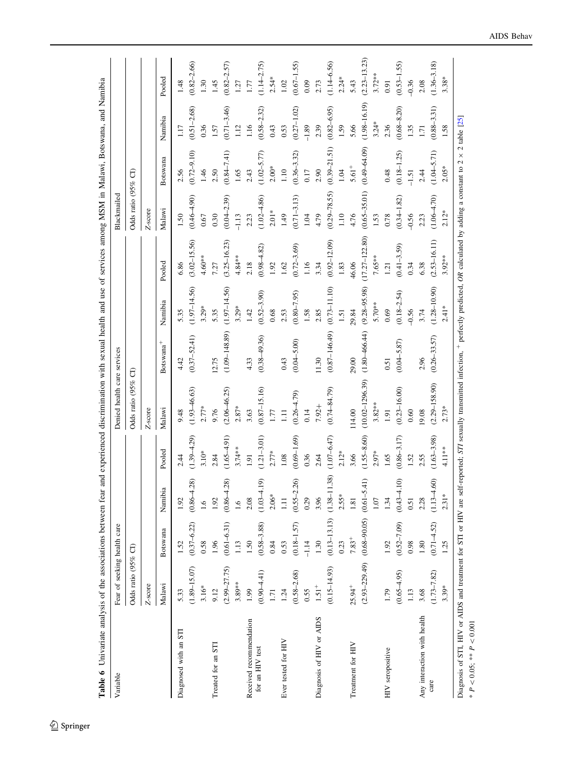<span id="page-7-0"></span>

| Variable                                                                                        | Fear of seeking health care |                            |                  |                 | Denied health care services                                                                                                                 |                    |                  |                    | Blackmailed      |                  |                  |                  |
|-------------------------------------------------------------------------------------------------|-----------------------------|----------------------------|------------------|-----------------|---------------------------------------------------------------------------------------------------------------------------------------------|--------------------|------------------|--------------------|------------------|------------------|------------------|------------------|
|                                                                                                 | Odds ratio (95%             | $\widehat{\sigma}$         |                  |                 | Odds ratio (95%                                                                                                                             | $\widehat{\sigma}$ |                  |                    | Odds ratio (95%  | $\Theta$         |                  |                  |
|                                                                                                 | Z-score                     |                            |                  |                 | Z-score                                                                                                                                     |                    |                  |                    | Z-score          |                  |                  |                  |
|                                                                                                 | Malawi                      | Botswana                   | bia<br>Namil     | Pooled          | Malawi                                                                                                                                      | $Botswana+$        | Namibia          | Pooled             | Malawi           | Botswana         | Namibia          | Pooled           |
| Diagnosed with an STI                                                                           | 5.33                        | 1.52                       | 1.92             | 2.44            | 9.48                                                                                                                                        | 4.42               | 5.35             | 6.86               | $1.50\,$         | 2.56             | 1.17             | 1.48             |
|                                                                                                 | $(1.89 - 15.07)$            | $(0.37 - 6.22)$            | $(0.86 - 4.28)$  | $(1.39 - 4.29)$ | $(1.93 - 46.63)$                                                                                                                            | $(0.37 - 52.41)$   | $(1.97 - 14.56)$ | $(3.02 - 15.56)$   | $(0.46 - 4.90)$  | $(0.72 - 9.10)$  | $(0.51 - 2.68)$  | $(0.82 - 2.66)$  |
|                                                                                                 | $3.16*$                     | 0.58                       | $1.6\phantom{0}$ | $3.10*$         | $2.77*$                                                                                                                                     |                    | $3.29*$          | $4.60**$           | 0.67             | 1.46             | 0.36             | 1.30             |
| Treated for an STI                                                                              | 9.12                        | 1.96                       | 1.92             | 2.84            | 9.76                                                                                                                                        | 12.75              | 5.35             | 7.27               | 0.30             | 2.50             | 1.57             | 1.45             |
|                                                                                                 | $(2.99 - 27.75)$            | $(0.61 - 6.31)$            | $(0.86 - 4.28)$  | $(1.65 - 4.91)$ | $(2.06 - 46.25)$                                                                                                                            | $(1.09 - 148.89)$  | $(1.97 - 14.56)$ | $(3.25 - 16.23)$   | $(0.04 - 2.39)$  | $(0.84 - 7.41)$  | $(0.71 - 3.46)$  | $(0.82 - 2.57)$  |
|                                                                                                 | $3.89**$                    | 1.13                       | 1.6              | $3.74**$        | $2.87*$                                                                                                                                     |                    | $3.29*$          | $4.84**$           | $-1.13$          | 1.65             | 1.12             | 1.27             |
| Received recommendation                                                                         | 1.99                        | 1.50                       | 2.08             | 1.91            | 3.63                                                                                                                                        | 4.33               | 1.42             | 2.18               | 2.23             | 2.43             | 1.16             | 1.77             |
| for an HIV test                                                                                 | $(0.90 - 4.41)$             | $(0.58 - 3.88)$            | $(1.03 - 4.19)$  | $(1.21 - 3.01)$ | $(0.87 - 15.16)$                                                                                                                            | $(0.38 - 49.36)$   | $(0.52 - 3.90)$  | $(0.98 - 4.82)$    | $(1.02 - 4.86)$  | $(1.02 - 5.77)$  | $(0.58 - 2.32)$  | $(1.14 - 2.75)$  |
|                                                                                                 | 1.71                        | 0.84                       | $2.06*$          | $2.77*$         | 1.77                                                                                                                                        |                    | 0.68             | 1.92               | $2.01*$          | $2.00*$          | 0.43             | $2.54*$          |
| Ever tested for HIV                                                                             | 1.24                        | 0.53                       | $\Xi$            | 1.08            | $\Xi$                                                                                                                                       | 0.43               | 2.53             | 1.62               | 1.49             | 1.10             | 0.53             | 1.02             |
|                                                                                                 | $(0.58 - 2.68)$             | $(0.18 - 1.57)$            | $(0.55 - 2.26)$  | $(0.69 - 1.69)$ | $(0.26 - 4.79)$                                                                                                                             | $(0.04 - 5.00)$    | $(0.80 - 7.95)$  | $(0.72 - 3.69)$    | $(0.71 - 3.13)$  | $(0.36 - 3.32)$  | $(0.27 - 1.02)$  | $(0.67 - 1.55)$  |
|                                                                                                 | 0.55                        | $-1.14$                    | 0.29             | 0.36            | 0.14                                                                                                                                        |                    | 1.58             | 1.16               | 1.04             | 0.17             | $-1.89$          | 0.09             |
| Diagnosis of HIV or AIDS                                                                        | $1.51^{+}$                  | 1.30                       | 3.96             | 2.64            | $7.92 +$                                                                                                                                    | 11.30              | 2.85             | 3.34               | 4.79             | 2.90             | 2.39             | 2.73             |
|                                                                                                 | $(0.15 - 14.93)$            | $(0.13 - 13.13)$           | $(1.38 - 11.38)$ | $(1.07 - 6.47)$ | $(0.74 - 84.79)$                                                                                                                            | $(0.87 - 146.49)$  | $(0.73 - 11.10)$ | $(0.92 - 12.09)$   | $(0.29 - 78.55)$ | $(0.39 - 21.51)$ | $(0.82 - 6.95)$  | $(1.14 - 6.56)$  |
|                                                                                                 |                             | 0.23                       | $2.55*$          | $2.12*$         |                                                                                                                                             |                    | 1.51             | 1.83               | 1.10             | 1.04             | 1.59             | $2.24*$          |
| Treatment for HIV                                                                               | $25.94 +$                   | $7.83 +$                   | $1.81\,$         | 3.66            | 114.00                                                                                                                                      | 29.00              | 29.84            | 46.06              | 4.76             | $5.61^{+}$       | 5.66             | 5.43             |
|                                                                                                 | $(2.93 - 229.49)$           | $(0.68 - 90.05)$ $(0.61 -$ | $-5.41$          | $(1.55 - 8.60)$ | $(10.02 - 1296.39)$                                                                                                                         | $(1.80 - 466.44)$  | $(9.28 - 95.98)$ | $(17.27 - 122.80)$ | $(0.65 - 35.01)$ | $(0.49 - 64.09)$ | $(1.98 - 16.19)$ | $(2.23 - 13.23)$ |
|                                                                                                 |                             |                            | $1.07\,$         | $2.97*$         | $3.82***$                                                                                                                                   |                    | 5.70**           | 7.65**             | 1.53             |                  | $3.24*$          | $3.72***$        |
| HIV seropositive                                                                                | 1.79                        | 1.92                       | 1.34             | 1.65            | 1.91                                                                                                                                        | 0.51               | 0.69             | 1.21               | 0.78             | 0.48             | 2.36             | 0.91             |
|                                                                                                 | $(0.65 - 4.95)$             | $(0.52 - 7.09)$            | $(0.43 - 4.10)$  | $(0.86 - 3.17)$ | $(0.23 - 16.00)$                                                                                                                            | $(0.04 - 5.87)$    | $(0.18 - 2.54)$  | $(0.41 - 3.59)$    | $(0.34 - 1.82)$  | $(0.18 - 1.25)$  | $(0.68 - 8.20)$  | $(0.53 - 1.55)$  |
|                                                                                                 | 1.13                        | 0.98                       | 0.51             | 1.52            | 0.60                                                                                                                                        |                    | $-0.56$          | 0.34               | $-0.56$          | $-1.51$          | 1.35             | $-0.36$          |
| Any interaction with health                                                                     | 3.68                        | 1.80                       | 2.28             | 2.55            | 19.08                                                                                                                                       | 2.96               | 3.74             | 6.38               | 2.23             | 2.44             | 1.71             | 2.08             |
| care                                                                                            | $(1.73 - 7.82)$             | $(0.71 - 4.52)$            | $(1.13 - 4.60)$  | $(1.63 - 3.98)$ | $(2.29 - 158.90)$                                                                                                                           | $(0.26 - 33.57)$   | $(1.28 - 10.90)$ | $(2.53 - 16.11)$   | $(1.06 - 4.70)$  | $(1.04 - 5.71)$  | $(0.88 - 3.31)$  | $(1.36 - 3.18)$  |
|                                                                                                 | $3.39*$                     | 1.25                       | $2.31*$          | 4.11**          | $2.73*$                                                                                                                                     |                    | $2.41*$          | $3.92**$           | $2.12*$          | $2.05*$          | 1.58             | $3.38*$          |
| Diagnosis of STI, HIV or AIDS and treatment for STI or HIV are<br>* $P < 0.05$ ; ** $P < 0.001$ |                             |                            |                  |                 | self-reported; STI sexually transmitted infection, <sup>+</sup> perfectly predicted, OR calculated by adding a constant to 2 x 2 table [25] |                    |                  |                    |                  |                  |                  |                  |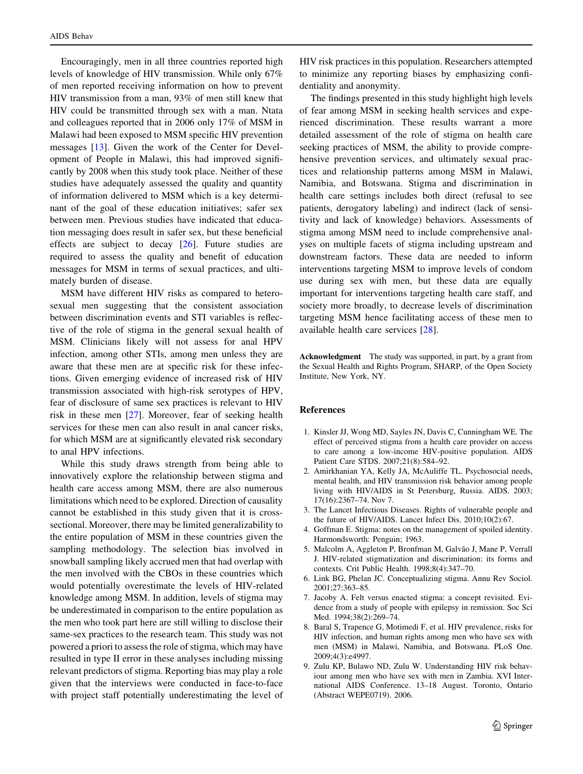<span id="page-8-0"></span>Encouragingly, men in all three countries reported high levels of knowledge of HIV transmission. While only 67% of men reported receiving information on how to prevent HIV transmission from a man, 93% of men still knew that HIV could be transmitted through sex with a man. Ntata and colleagues reported that in 2006 only 17% of MSM in Malawi had been exposed to MSM specific HIV prevention messages [\[13](#page-9-0)]. Given the work of the Center for Development of People in Malawi, this had improved significantly by 2008 when this study took place. Neither of these studies have adequately assessed the quality and quantity of information delivered to MSM which is a key determinant of the goal of these education initiatives; safer sex between men. Previous studies have indicated that education messaging does result in safer sex, but these beneficial effects are subject to decay [[26\]](#page-9-0). Future studies are required to assess the quality and benefit of education messages for MSM in terms of sexual practices, and ultimately burden of disease.

MSM have different HIV risks as compared to heterosexual men suggesting that the consistent association between discrimination events and STI variables is reflective of the role of stigma in the general sexual health of MSM. Clinicians likely will not assess for anal HPV infection, among other STIs, among men unless they are aware that these men are at specific risk for these infections. Given emerging evidence of increased risk of HIV transmission associated with high-risk serotypes of HPV, fear of disclosure of same sex practices is relevant to HIV risk in these men [[27\]](#page-9-0). Moreover, fear of seeking health services for these men can also result in anal cancer risks, for which MSM are at significantly elevated risk secondary to anal HPV infections.

While this study draws strength from being able to innovatively explore the relationship between stigma and health care access among MSM, there are also numerous limitations which need to be explored. Direction of causality cannot be established in this study given that it is crosssectional. Moreover, there may be limited generalizability to the entire population of MSM in these countries given the sampling methodology. The selection bias involved in snowball sampling likely accrued men that had overlap with the men involved with the CBOs in these countries which would potentially overestimate the levels of HIV-related knowledge among MSM. In addition, levels of stigma may be underestimated in comparison to the entire population as the men who took part here are still willing to disclose their same-sex practices to the research team. This study was not powered a priori to assess the role of stigma, which may have resulted in type II error in these analyses including missing relevant predictors of stigma. Reporting bias may play a role given that the interviews were conducted in face-to-face with project staff potentially underestimating the level of

HIV risk practices in this population. Researchers attempted to minimize any reporting biases by emphasizing confidentiality and anonymity.

The findings presented in this study highlight high levels of fear among MSM in seeking health services and experienced discrimination. These results warrant a more detailed assessment of the role of stigma on health care seeking practices of MSM, the ability to provide comprehensive prevention services, and ultimately sexual practices and relationship patterns among MSM in Malawi, Namibia, and Botswana. Stigma and discrimination in health care settings includes both direct (refusal to see patients, derogatory labeling) and indirect (lack of sensitivity and lack of knowledge) behaviors. Assessments of stigma among MSM need to include comprehensive analyses on multiple facets of stigma including upstream and downstream factors. These data are needed to inform interventions targeting MSM to improve levels of condom use during sex with men, but these data are equally important for interventions targeting health care staff, and society more broadly, to decrease levels of discrimination targeting MSM hence facilitating access of these men to available health care services [[28\]](#page-9-0).

Acknowledgment The study was supported, in part, by a grant from the Sexual Health and Rights Program, SHARP, of the Open Society Institute, New York, NY.

#### References

- 1. Kinsler JJ, Wong MD, Sayles JN, Davis C, Cunningham WE. The effect of perceived stigma from a health care provider on access to care among a low-income HIV-positive population. AIDS Patient Care STDS. 2007;21(8):584–92.
- 2. Amirkhanian YA, Kelly JA, McAuliffe TL. Psychosocial needs, mental health, and HIV transmission risk behavior among people living with HIV/AIDS in St Petersburg, Russia. AIDS. 2003; 17(16):2367–74. Nov 7.
- 3. The Lancet Infectious Diseases. Rights of vulnerable people and the future of HIV/AIDS. Lancet Infect Dis. 2010;10(2):67.
- 4. Goffman E. Stigma: notes on the management of spoiled identity. Harmondsworth: Penguin; 1963.
- 5. Malcolm A, Aggleton P, Bronfman M, Galvão J, Mane P, Verrall J. HIV-related stigmatization and discrimination: its forms and contexts. Crit Public Health. 1998;8(4):347–70.
- 6. Link BG, Phelan JC. Conceptualizing stigma. Annu Rev Sociol. 2001;27:363–85.
- 7. Jacoby A. Felt versus enacted stigma: a concept revisited. Evidence from a study of people with epilepsy in remission. Soc Sci Med. 1994;38(2):269–74.
- 8. Baral S, Trapence G, Motimedi F, et al. HIV prevalence, risks for HIV infection, and human rights among men who have sex with men (MSM) in Malawi, Namibia, and Botswana. PLoS One. 2009;4(3):e4997.
- 9. Zulu KP, Bulawo ND, Zulu W. Understanding HIV risk behaviour among men who have sex with men in Zambia. XVI International AIDS Conference. 13–18 August. Toronto, Ontario (Abstract WEPE0719). 2006.